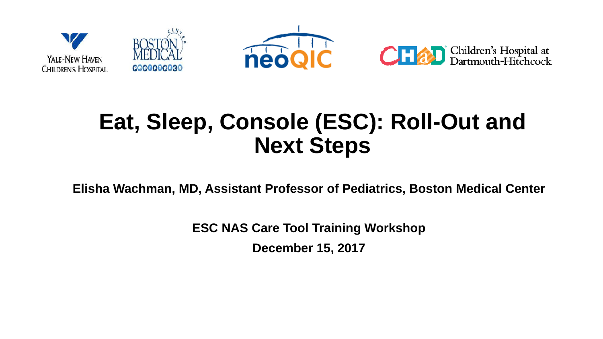

### **Eat, Sleep, Console (ESC): Roll-Out and Next Steps**

**Elisha Wachman, MD, Assistant Professor of Pediatrics, Boston Medical Center**

**ESC NAS Care Tool Training Workshop**

**December 15, 2017**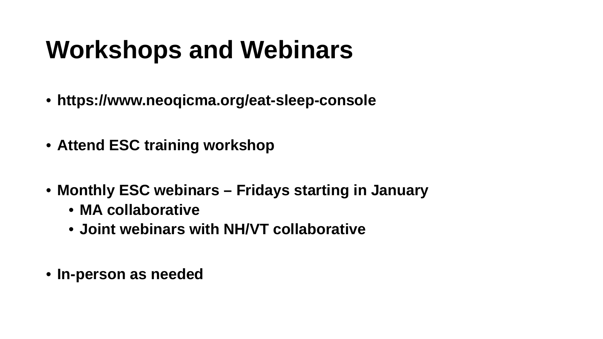### **Workshops and Webinars**

- **https://www.neoqicma.org/eat-sleep-console**
- **Attend ESC training workshop**
- **Monthly ESC webinars – Fridays starting in January** 
	- **MA collaborative**
	- **Joint webinars with NH/VT collaborative**
- **In-person as needed**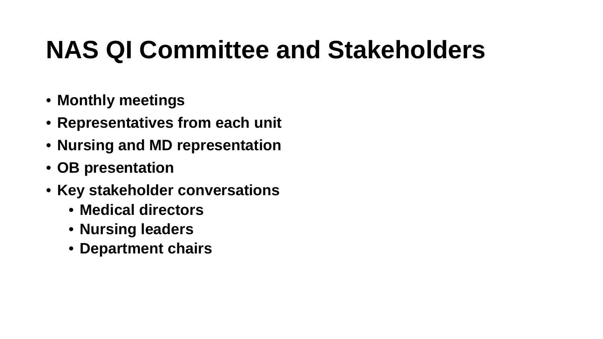### **NAS QI Committee and Stakeholders**

- **Monthly meetings**
- **Representatives from each unit**
- **Nursing and MD representation**
- **OB presentation**
- **Key stakeholder conversations** 
	- **Medical directors**
	- **Nursing leaders**
	- **Department chairs**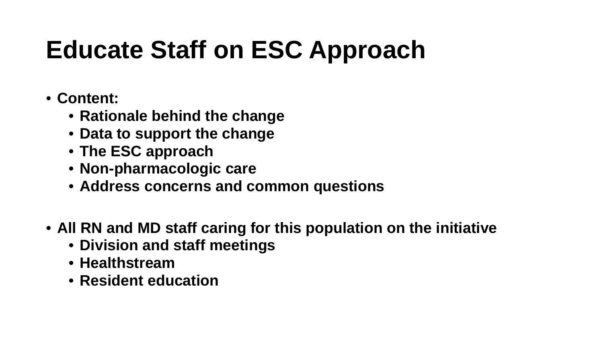## **Educate Staff on ESC Approach**

- **Content:** 
	- **Rationale behind the change**
	- **Data to support the change**
	- **The ESC approach**
	- **Non-pharmacologic care**
	- **Address concerns and common questions**
- **All RN and MD staff caring for this population on the initiative** 
	- **Division and staff meetings**
	- **Healthstream**
	- **Resident education**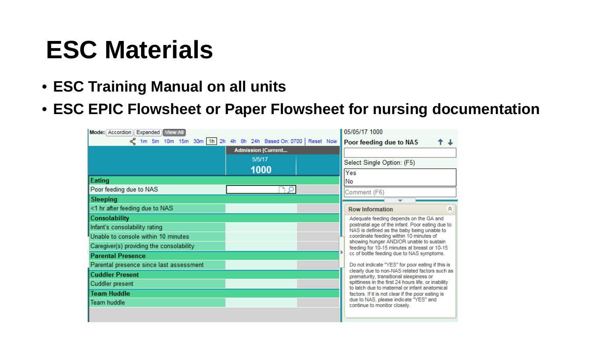### **ESC Materials**

- **ESC Training Manual on all units**
- **ESC EPIC Flowsheet or Paper Flowsheet for nursing documentation**

| Mode: Accordion Expanded View All                           |                           |  |  | 05/05/17 1000                                                                                                                                                                                                                                                                    |   |  |
|-------------------------------------------------------------|---------------------------|--|--|----------------------------------------------------------------------------------------------------------------------------------------------------------------------------------------------------------------------------------------------------------------------------------|---|--|
| on 10m 10m 15m 30m 1h 2h 4h 8h 24h Based On: 0700 Reset Now |                           |  |  | Poor feeding due to NAS                                                                                                                                                                                                                                                          |   |  |
|                                                             | <b>Admission (Current</b> |  |  |                                                                                                                                                                                                                                                                                  |   |  |
|                                                             | 5/5/17                    |  |  | Select Single Option: (F5)                                                                                                                                                                                                                                                       |   |  |
|                                                             | 1000                      |  |  | Yes                                                                                                                                                                                                                                                                              |   |  |
| Eating                                                      |                           |  |  | No                                                                                                                                                                                                                                                                               |   |  |
| Poor feeding due to NAS                                     |                           |  |  | Comment (F6)                                                                                                                                                                                                                                                                     |   |  |
| <b>Sleeping</b>                                             |                           |  |  |                                                                                                                                                                                                                                                                                  |   |  |
| <1 hr after feeding due to NAS                              |                           |  |  | <b>Row Information</b>                                                                                                                                                                                                                                                           | 会 |  |
| Consolability                                               |                           |  |  | Adequate feeding depends on the GA and                                                                                                                                                                                                                                           |   |  |
| Infant's consolability rating                               |                           |  |  | postnatal age of the infant. Poor eating due to<br>NAS is defined as the baby being unable to<br>coordinate feeding within 10 minutes of<br>showing hunger AND/OR unable to sustain<br>feeding for 10-15 minutes at breast or 10-15<br>cc of bottle feeding due to NAS symptoms. |   |  |
| Unable to console within 10 minutes                         |                           |  |  |                                                                                                                                                                                                                                                                                  |   |  |
| Caregiver(s) providing the consolability                    |                           |  |  |                                                                                                                                                                                                                                                                                  |   |  |
| <b>Parental Presence</b>                                    |                           |  |  |                                                                                                                                                                                                                                                                                  |   |  |
| Parental presence since last assessment                     |                           |  |  | Do not indicate "YES" for poor eating if this is                                                                                                                                                                                                                                 |   |  |
| <b>Cuddler Present</b>                                      |                           |  |  | clearly due to non-NAS related factors such as<br>prematurity, transitional sleepiness or                                                                                                                                                                                        |   |  |
| Cuddler present                                             |                           |  |  | spittiness in the first 24 hours life, or inability<br>to latch due to maternal or infant anatomical                                                                                                                                                                             |   |  |
| <b>Team Huddle</b>                                          |                           |  |  | factors. If it is not clear if the poor eating is                                                                                                                                                                                                                                |   |  |
| Team huddle                                                 |                           |  |  | due to NAS, please indicate "YES" and<br>continue to monitor closely.                                                                                                                                                                                                            |   |  |
|                                                             |                           |  |  |                                                                                                                                                                                                                                                                                  |   |  |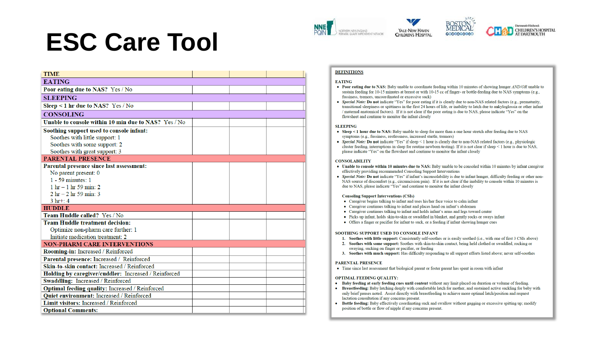### **ESC Care Tool**







### **DEFINITIONS**

### **EATING**

- Poor eating due to NAS: Baby unable to coordinate feeding within 10 minutes of showing hunger AND/OR unable to sustain feeding for 10-15 minutes at breast or with 10-15 cc of finger- or bottle-feeding due to NAS symptoms (e.g., fussiness, tremors, uncoordinated or excessive suck)
- Special Note: Do not indicate "Yes" for poor eating if it is clearly due to non-NAS related factors (e.g., prematurity, transitional sleepiness or spittiness in the first 24 hours of life, or inability to latch due to ankyloglossia or other infant / maternal anatomical factors). If it is not clear if the poor eating is due to NAS, please indicate "Yes" on the flowsheet and continue to monitor the infant closely

### **SLEEPING**

- Sleep  $\leq$  1 hour due to NAS: Baby unable to sleep for more than a one hour stretch after feeding due to NAS symptoms (e.g., fussiness, restlessness, increased startle, tremors)
- Special Note: Do not indicate "Yes" if sleep < 1 hour is clearly due to non-NAS related factors (e.g., physiologic cluster feeding, interruptions in sleep for routine newborn testing). If it is not clear if sleep < 1 hour is due to NAS, please indicate "Yes" on the flowsheet and continue to monitor the infant closely

### **CONSOLABILITY**

- Unable to console within 10 minutes due to NAS: Baby unable to be consoled within 10 minutes by infant caregiver effectively providing recommended Consoling Support Interventions
- Special Note: Do not indicate "Yes" if infant's inconsolability is due to infant hunger, difficulty feeding or other non-NAS source of discomfort (e.g., circumcision pain). If it is not clear if the inability to console within 10 minutes is due to NAS, please indicate "Yes" and continue to monitor the infant closely

### **Consoling Support Interventions (CSIs)**

- Caregiver begins talking to infant and uses his/her face voice to calm infant
- Caregiver continues talking to infant and places hand on infant's abdomen
- Caregiver continues talking to infant and holds infant's arms and legs toward center
- Picks up infant, holds skin-to-skin or swaddled in blanket, and gently rocks or sways infant
- Offers a finger or pacifier for infant to suck, or a feeding if infant showing hunger cues

### SOOTHING SUPPORT USED TO CONSOLE INFANT

- 1. Soothes with little support: Consistently self-soothes or is easily soothed (i.e., with one of first 3 CSIs above)
- 2. Soothes with some support: Soothes with skin-to-skin contact, being held clothed or swaddled, rocking or swaying, sucking on finger or pacifier, or feeding
- 3. Soothes with much support: Has difficulty responding to all support efforts listed above; never self-soothes

### PARENTAL PRESENCE

• Time since last assessment that biological parent or foster parent has spent in room with infant

### **OPTIMAL FEEDING QUALITY:**

- Baby feeding at early feeding cues until content without any limit placed on duration or volume of feeding.
- Breastfeeding: Baby latching deeply with comfortable latch for mother, and sustained active suckling for baby with only brief pauses noted. Assist directly with breastfeeding to achieve more optimal latch/position and request lactation consultation if any concerns present.
- Bottle feeding: Baby effectively coordinating suck and swallow without gagging or excessive spitting up; modify position of bottle or flow of nipple if any concerns present.

| <b>TIME</b>                                          |  |  |  |
|------------------------------------------------------|--|--|--|
| <b>EATING</b>                                        |  |  |  |
| Poor eating due to NAS? Yes / No                     |  |  |  |
| <b>SLEEPING</b>                                      |  |  |  |
| Sleep $\leq 1$ hr due to NAS? Yes / No               |  |  |  |
| <b>CONSOLING</b>                                     |  |  |  |
| Unable to console within 10 min due to NAS? Yes / No |  |  |  |
| Soothing support used to console infant:             |  |  |  |
| Soothes with little support: 1                       |  |  |  |
| Soothes with some support: 2                         |  |  |  |
| Soothes with great support: 3                        |  |  |  |
| <b>PARENTAL PRESENCE</b>                             |  |  |  |
| Parental presence since last assessment:             |  |  |  |
| No parent present: 0                                 |  |  |  |
| 1 - 59 minutes: 1                                    |  |  |  |
| $1 \text{ hr} - 1 \text{ hr} 59 \text{ min}$ : 2     |  |  |  |
| $2 \text{ hr} - 2 \text{ hr} 59 \text{ min}$ : 3     |  |  |  |
| $3 \text{ hr} + 4$                                   |  |  |  |
| <b>HUDDLE</b>                                        |  |  |  |
| Team Huddle called? Yes / No                         |  |  |  |
| <b>Team Huddle treatment decision:</b>               |  |  |  |
| Optimize non-pharm care further: 1                   |  |  |  |
| Initiate medication treatment: 2                     |  |  |  |
| <b>NON-PHARM CARE INTERVENTIONS</b>                  |  |  |  |
| Rooming-in: Increased / Reinforced                   |  |  |  |
| Parental presence: Increased / Reinforced            |  |  |  |
| Skin-to-skin contact: Increased / Reinforced         |  |  |  |
| Holding by caregiver/cuddler: Increased / Reinforced |  |  |  |
| Swaddling: Increased / Reinforced                    |  |  |  |
| Optimal feeding quality: Increased / Reinforced      |  |  |  |
| <b>Quiet environment: Increased / Reinforced</b>     |  |  |  |
| Limit visitors: Increased / Reinforced               |  |  |  |
| <b>Optional Comments:</b>                            |  |  |  |
|                                                      |  |  |  |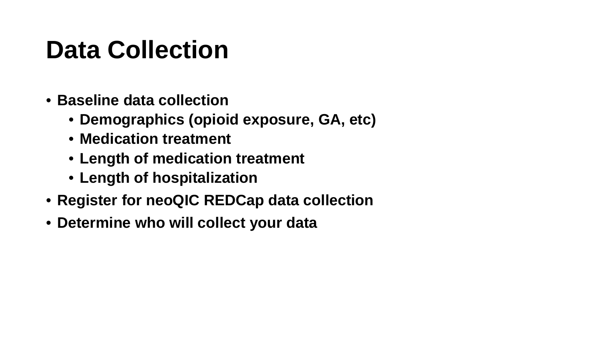### **Data Collection**

- **Baseline data collection** 
	- **Demographics (opioid exposure, GA, etc)**
	- **Medication treatment**
	- **Length of medication treatment**
	- **Length of hospitalization**
- **Register for neoQIC REDCap data collection**
- **Determine who will collect your data**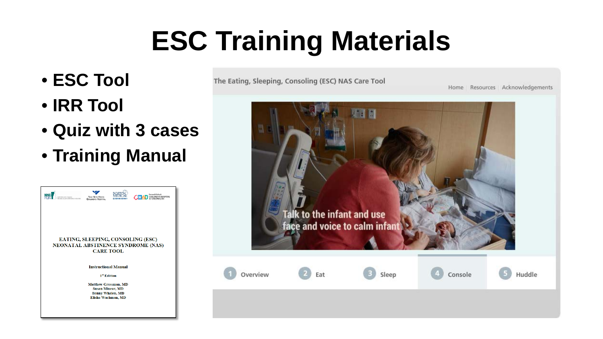# **ESC Training Materials**

- **ESC Tool**
- **IRR Tool**
- **Quiz with 3 cases**
- **Training Manual**



The Eating, Sleeping, Consoling (ESC) NAS Care Tool

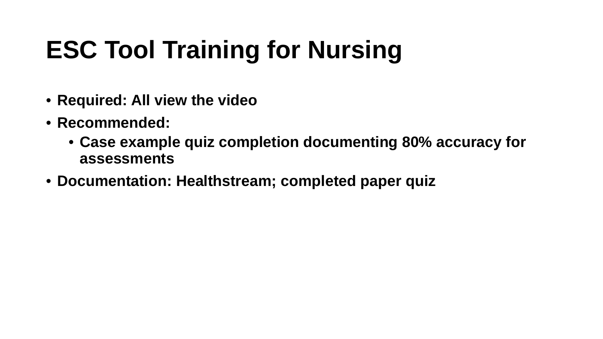## **ESC Tool Training for Nursing**

- **Required: All view the video**
- **Recommended:** 
	- **Case example quiz completion documenting 80% accuracy for assessments**
- **Documentation: Healthstream; completed paper quiz**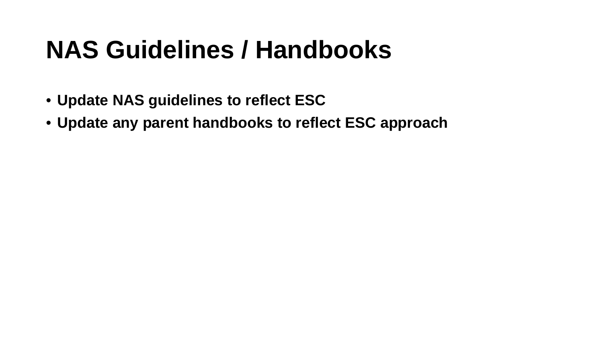### **NAS Guidelines / Handbooks**

- **Update NAS guidelines to reflect ESC**
- **Update any parent handbooks to reflect ESC approach**